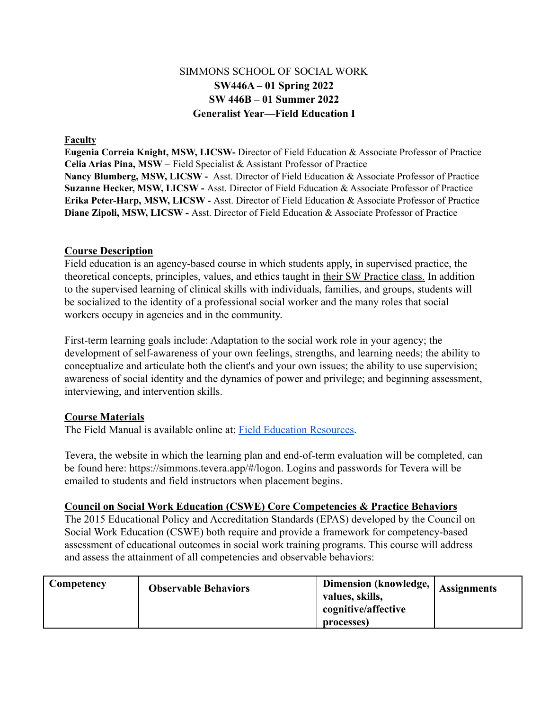# SIMMONS SCHOOL OF SOCIAL WORK **SW446A – 01 Spring 2022 SW 446B – 01 Summer 2022 Generalist Year—Field Education I**

#### **Faculty**

 **Eugenia Correia Knight, MSW, LICSW-** Director of Field Education & Associate Professor of Practice  **Celia Arias Pina, MSW –** Field Specialist & Assistant Professor of Practice  **Nancy Blumberg, MSW, LICSW -** Asst. Director of Field Education & Associate Professor of Practice  **Suzanne Hecker, MSW, LICSW -** Asst. Director of Field Education & Associate Professor of Practice  **Erika Peter-Harp, MSW, LICSW -** Asst. Director of Field Education & Associate Professor of Practice  **Diane Zipoli, MSW, LICSW -** Asst. Director of Field Education & Associate Professor of Practice

#### **Course Description**

Field education is an agency-based course in which students apply, in supervised practice, the theoretical concepts, principles, values, and ethics taught in their SW Practice class. In addition to the supervised learning of clinical skills with individuals, families, and groups, students will be socialized to the identity of a professional social worker and the many roles that social workers occupy in agencies and in the community.

First-term learning goals include: Adaptation to the social work role in your agency; the development of self-awareness of your own feelings, strengths, and learning needs; the ability to conceptualize and articulate both the client's and your own issues; the ability to use supervision; awareness of social identity and the dynamics of power and privilege; and beginning assessment, interviewing, and intervention skills.

#### **Course Materials**

The Field Manual is available online at: [Field Education](https://internal.simmons.edu/students/academics/ssw/msw-students/field-education/resources) Resources.

Tevera, the website in which the learning plan and end-of-term evaluation will be completed, can be found here: [https://simmons.tevera.app/#/logon.](https://simmons.tevera.app/#/logon) Logins and passwords for Tevera will be emailed to students and field instructors when placement begins.

#### **Council on Social Work Education (CSWE) Core Competencies & Practice Behaviors**

The 2015 Educational Policy and Accreditation Standards (EPAS) developed by the Council on Social Work Education (CSWE) both require and provide a framework for competency-based assessment of educational outcomes in social work training programs. This course will address and assess the attainment of all competencies and observable behaviors:

| Competency | <b>Observable Behaviors</b> | <b>Dimension (knowledge,  </b><br>values, skills,<br>cognitive/affective<br>processes) | <b>Assignments</b> |
|------------|-----------------------------|----------------------------------------------------------------------------------------|--------------------|
|------------|-----------------------------|----------------------------------------------------------------------------------------|--------------------|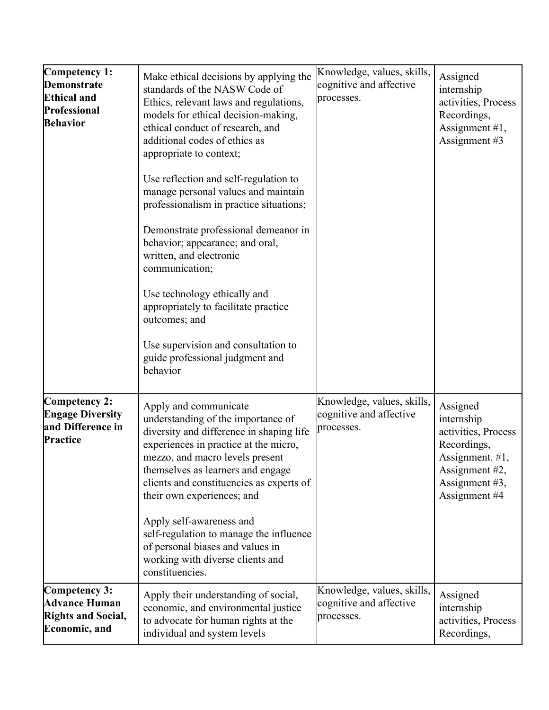| Competency 1:<br>Demonstrate<br><b>Ethical and</b><br>Professional<br><b>Behavior</b> | Make ethical decisions by applying the<br>standards of the NASW Code of<br>Ethics, relevant laws and regulations,<br>models for ethical decision-making,<br>ethical conduct of research, and<br>additional codes of ethics as<br>appropriate to context;<br>Use reflection and self-regulation to<br>manage personal values and maintain<br>professionalism in practice situations;<br>Demonstrate professional demeanor in<br>behavior; appearance; and oral,<br>written, and electronic<br>communication;<br>Use technology ethically and<br>appropriately to facilitate practice<br>outcomes; and<br>Use supervision and consultation to<br>guide professional judgment and<br>behavior | Knowledge, values, skills,<br>cognitive and affective<br>processes. | Assigned<br>internship<br>activities, Process<br>Recordings,<br>Assignment #1,<br>Assignment #3                                      |
|---------------------------------------------------------------------------------------|--------------------------------------------------------------------------------------------------------------------------------------------------------------------------------------------------------------------------------------------------------------------------------------------------------------------------------------------------------------------------------------------------------------------------------------------------------------------------------------------------------------------------------------------------------------------------------------------------------------------------------------------------------------------------------------------|---------------------------------------------------------------------|--------------------------------------------------------------------------------------------------------------------------------------|
| Competency 2:<br><b>Engage Diversity</b><br>and Difference in<br>Practice             | Apply and communicate<br>understanding of the importance of<br>diversity and difference in shaping life<br>experiences in practice at the micro,<br>mezzo, and macro levels present<br>themselves as learners and engage<br>clients and constituencies as experts of<br>their own experiences; and<br>Apply self-awareness and<br>self-regulation to manage the influence<br>of personal biases and values in<br>working with diverse clients and<br>constituencies.                                                                                                                                                                                                                       | Knowledge, values, skills,<br>cognitive and affective<br>processes. | Assigned<br>internship<br>activities, Process<br>Recordings,<br>Assignment. #1,<br>Assignment #2,<br>Assignment #3,<br>Assignment #4 |
| Competency 3:<br><b>Advance Human</b><br><b>Rights and Social,</b><br>Economic, and   | Apply their understanding of social,<br>economic, and environmental justice<br>to advocate for human rights at the<br>individual and system levels                                                                                                                                                                                                                                                                                                                                                                                                                                                                                                                                         | Knowledge, values, skills,<br>cognitive and affective<br>processes. | Assigned<br>internship<br>activities, Process<br>Recordings,                                                                         |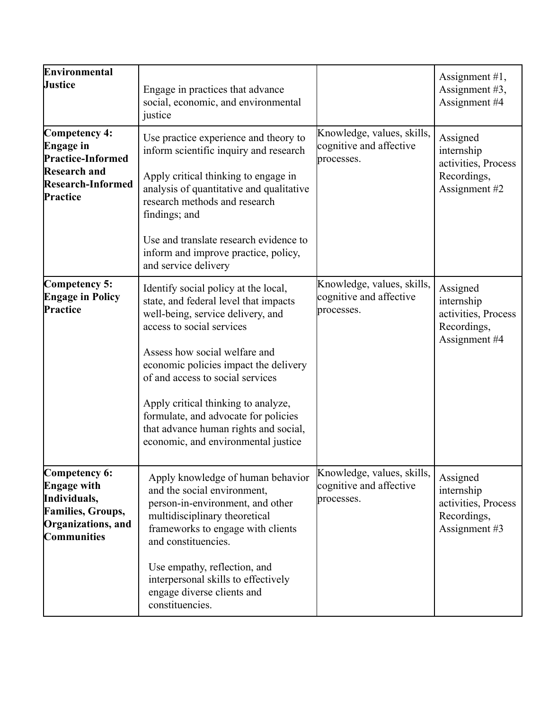| Environmental<br><b>Justice</b>                                                                                              | Engage in practices that advance<br>social, economic, and environmental<br>justice                                                                                                                                                                                                                                                                                                                                           |                                                                     | Assignment $#1$ ,<br>Assignment #3,<br>Assignment #4                          |
|------------------------------------------------------------------------------------------------------------------------------|------------------------------------------------------------------------------------------------------------------------------------------------------------------------------------------------------------------------------------------------------------------------------------------------------------------------------------------------------------------------------------------------------------------------------|---------------------------------------------------------------------|-------------------------------------------------------------------------------|
| Competency 4:<br><b>Engage</b> in<br><b>Practice-Informed</b><br><b>Research and</b><br><b>Research-Informed</b><br>Practice | Use practice experience and theory to<br>inform scientific inquiry and research<br>Apply critical thinking to engage in<br>analysis of quantitative and qualitative<br>research methods and research<br>findings; and<br>Use and translate research evidence to<br>inform and improve practice, policy,<br>and service delivery                                                                                              | Knowledge, values, skills,<br>cognitive and affective<br>processes. | Assigned<br>internship<br>activities, Process<br>Recordings,<br>Assignment #2 |
| Competency 5:<br><b>Engage in Policy</b><br>Practice                                                                         | Identify social policy at the local,<br>state, and federal level that impacts<br>well-being, service delivery, and<br>access to social services<br>Assess how social welfare and<br>economic policies impact the delivery<br>of and access to social services<br>Apply critical thinking to analyze,<br>formulate, and advocate for policies<br>that advance human rights and social,<br>economic, and environmental justice | Knowledge, values, skills,<br>cognitive and affective<br>processes. | Assigned<br>internship<br>activities, Process<br>Recordings,<br>Assignment #4 |
| Competency 6:<br><b>Engage with</b><br>Individuals,<br><b>Families, Groups,</b><br>Organizations, and<br>Communities         | Apply knowledge of human behavior<br>and the social environment,<br>person-in-environment, and other<br>multidisciplinary theoretical<br>frameworks to engage with clients<br>and constituencies.<br>Use empathy, reflection, and<br>interpersonal skills to effectively<br>engage diverse clients and<br>constituencies.                                                                                                    | Knowledge, values, skills,<br>cognitive and affective<br>processes. | Assigned<br>internship<br>activities, Process<br>Recordings,<br>Assignment #3 |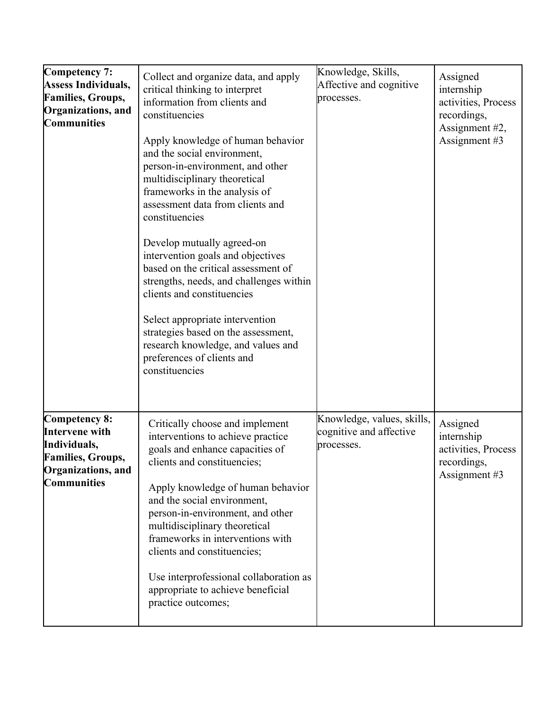| Competency 7:<br><b>Assess Individuals,</b><br><b>Families, Groups,</b><br>Organizations, and<br><b>Communities</b> | Collect and organize data, and apply<br>critical thinking to interpret<br>information from clients and<br>constituencies<br>Apply knowledge of human behavior<br>and the social environment,<br>person-in-environment, and other<br>multidisciplinary theoretical<br>frameworks in the analysis of<br>assessment data from clients and<br>constituencies<br>Develop mutually agreed-on<br>intervention goals and objectives<br>based on the critical assessment of<br>strengths, needs, and challenges within<br>clients and constituencies<br>Select appropriate intervention<br>strategies based on the assessment,<br>research knowledge, and values and<br>preferences of clients and<br>constituencies | Knowledge, Skills,<br>Affective and cognitive<br>processes.         | Assigned<br>internship<br>activities, Process<br>recordings,<br>Assignment #2,<br>Assignment #3 |
|---------------------------------------------------------------------------------------------------------------------|-------------------------------------------------------------------------------------------------------------------------------------------------------------------------------------------------------------------------------------------------------------------------------------------------------------------------------------------------------------------------------------------------------------------------------------------------------------------------------------------------------------------------------------------------------------------------------------------------------------------------------------------------------------------------------------------------------------|---------------------------------------------------------------------|-------------------------------------------------------------------------------------------------|
| Competency 8:<br>Intervene with<br>Individuals,<br><b>Families</b> , Groups,<br>Organizations, and<br>Communities   | Critically choose and implement<br>interventions to achieve practice<br>goals and enhance capacities of<br>clients and constituencies;<br>Apply knowledge of human behavior<br>and the social environment,<br>person-in-environment, and other<br>multidisciplinary theoretical<br>frameworks in interventions with<br>clients and constituencies;<br>Use interprofessional collaboration as<br>appropriate to achieve beneficial<br>practice outcomes;                                                                                                                                                                                                                                                     | Knowledge, values, skills,<br>cognitive and affective<br>processes. | Assigned<br>internship<br>activities, Process<br>recordings.<br>Assignment #3                   |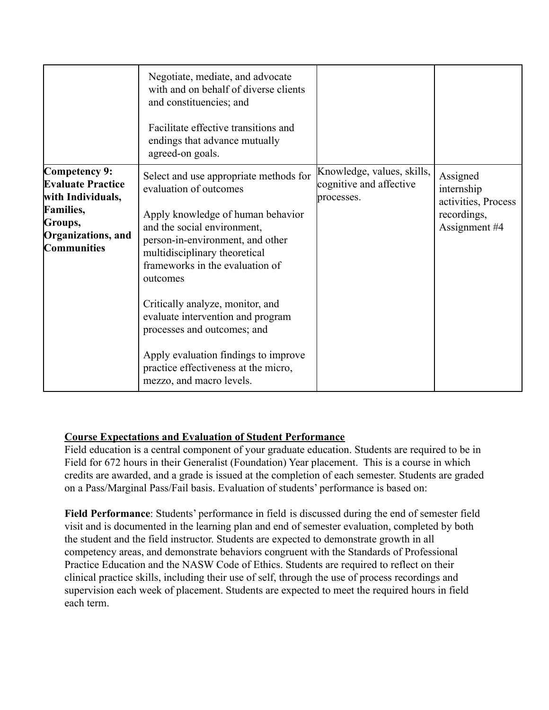|                                                                                                                                           | Negotiate, mediate, and advocate<br>with and on behalf of diverse clients<br>and constituencies; and<br>Facilitate effective transitions and<br>endings that advance mutually<br>agreed-on goals.                                                                                                                                                                                                                                                                            |                                                                     |                                                                               |
|-------------------------------------------------------------------------------------------------------------------------------------------|------------------------------------------------------------------------------------------------------------------------------------------------------------------------------------------------------------------------------------------------------------------------------------------------------------------------------------------------------------------------------------------------------------------------------------------------------------------------------|---------------------------------------------------------------------|-------------------------------------------------------------------------------|
| Competency 9:<br><b>Evaluate Practice</b><br>with Individuals,<br><b>Families,</b><br>Groups,<br>Organizations, and<br><b>Communities</b> | Select and use appropriate methods for<br>evaluation of outcomes<br>Apply knowledge of human behavior<br>and the social environment,<br>person-in-environment, and other<br>multidisciplinary theoretical<br>frameworks in the evaluation of<br>outcomes<br>Critically analyze, monitor, and<br>evaluate intervention and program<br>processes and outcomes; and<br>Apply evaluation findings to improve<br>practice effectiveness at the micro,<br>mezzo, and macro levels. | Knowledge, values, skills,<br>cognitive and affective<br>processes. | Assigned<br>internship<br>activities, Process<br>recordings,<br>Assignment #4 |

### **Course Expectations and Evaluation of Student Performance**

Field education is a central component of your graduate education. Students are required to be in Field for 672 hours in their Generalist (Foundation) Year placement. This is a course in which credits are awarded, and a grade is issued at the completion of each semester. Students are graded on a Pass/Marginal Pass/Fail basis. Evaluation of students' performance is based on:

**Field Performance**: Students' performance in field is discussed during the end of semester field visit and is documented in the learning plan and end of semester evaluation, completed by both the student and the field instructor. Students are expected to demonstrate growth in all competency areas, and demonstrate behaviors congruent with the Standards of Professional Practice Education and the NASW Code of Ethics. Students are required to reflect on their clinical practice skills, including their use of self, through the use of process recordings and supervision each week of placement. Students are expected to meet the required hours in field each term.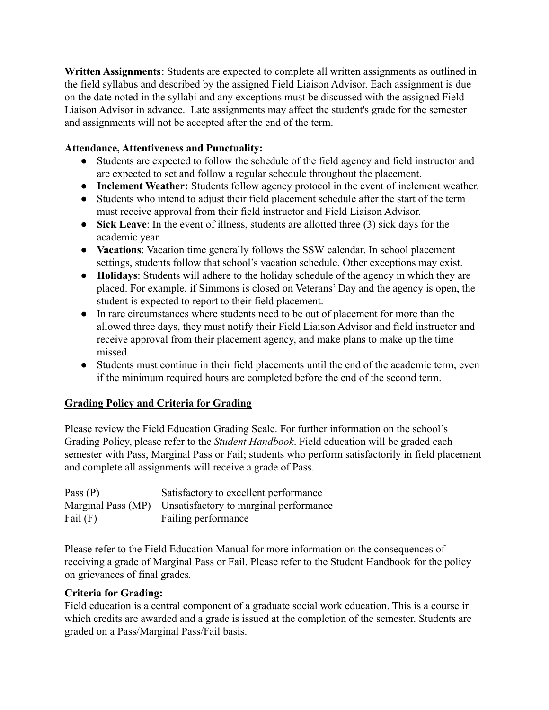**Written Assignments**: Students are expected to complete all written assignments as outlined in the field syllabus and described by the assigned Field Liaison Advisor. Each assignment is due on the date noted in the syllabi and any exceptions must be discussed with the assigned Field Liaison Advisor in advance. Late assignments may affect the student's grade for the semester and assignments will not be accepted after the end of the term.

## **Attendance, Attentiveness and Punctuality:**

- Students are expected to follow the schedule of the field agency and field instructor and are expected to set and follow a regular schedule throughout the placement.
- **Inclement Weather:** Students follow agency protocol in the event of inclement weather.
- Students who intend to adjust their field placement schedule after the start of the term must receive approval from their field instructor and Field Liaison Advisor.
- **Sick Leave**: In the event of illness, students are allotted three (3) sick days for the academic year.
- **Vacations**: Vacation time generally follows the SSW calendar. In school placement settings, students follow that school's vacation schedule. Other exceptions may exist.
- **Holidays**: Students will adhere to the holiday schedule of the agency in which they are placed. For example, if Simmons is closed on Veterans' Day and the agency is open, the student is expected to report to their field placement.
- In rare circumstances where students need to be out of placement for more than the allowed three days, they must notify their Field Liaison Advisor and field instructor and receive approval from their placement agency, and make plans to make up the time missed.
- Students must continue in their field placements until the end of the academic term, even if the minimum required hours are completed before the end of the second term.

# **Grading Policy and Criteria for Grading**

Please review the Field Education Grading Scale. For further information on the school's Grading Policy, please refer to the *Student Handbook*. Field education will be graded each semester with Pass, Marginal Pass or Fail; students who perform satisfactorily in field placement and complete all assignments will receive a grade of Pass.

| Pass $(P)$ | Satisfactory to excellent performance                     |
|------------|-----------------------------------------------------------|
|            | Marginal Pass (MP) Unsatisfactory to marginal performance |
| Fail $(F)$ | Failing performance                                       |

Please refer to the Field Education Manual for more information on the consequences of receiving a grade of Marginal Pass or Fail. Please refer to the Student Handbook for the policy on grievances of final grades*.*

# **Criteria for Grading:**

Field education is a central component of a graduate social work education. This is a course in which credits are awarded and a grade is issued at the completion of the semester. Students are graded on a Pass/Marginal Pass/Fail basis.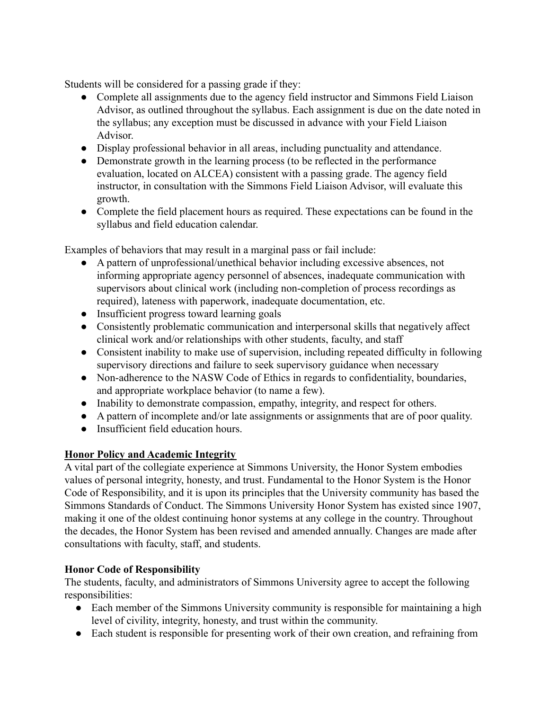Students will be considered for a passing grade if they:

- Complete all assignments due to the agency field instructor and Simmons Field Liaison Advisor, as outlined throughout the syllabus. Each assignment is due on the date noted in the syllabus; any exception must be discussed in advance with your Field Liaison Advisor.
- Display professional behavior in all areas, including punctuality and attendance.
- Demonstrate growth in the learning process (to be reflected in the performance evaluation, located on ALCEA) consistent with a passing grade. The agency field instructor, in consultation with the Simmons Field Liaison Advisor, will evaluate this growth.
- Complete the field placement hours as required. These expectations can be found in the syllabus and field education calendar.

Examples of behaviors that may result in a marginal pass or fail include:

- A pattern of unprofessional/unethical behavior including excessive absences, not informing appropriate agency personnel of absences, inadequate communication with supervisors about clinical work (including non-completion of process recordings as required), lateness with paperwork, inadequate documentation, etc.
- Insufficient progress toward learning goals
- Consistently problematic communication and interpersonal skills that negatively affect clinical work and/or relationships with other students, faculty, and staff
- Consistent inability to make use of supervision, including repeated difficulty in following supervisory directions and failure to seek supervisory guidance when necessary
- Non-adherence to the NASW Code of Ethics in regards to confidentiality, boundaries, and appropriate workplace behavior (to name a few).
- Inability to demonstrate compassion, empathy, integrity, and respect for others.
- A pattern of incomplete and/or late assignments or assignments that are of poor quality.
- Insufficient field education hours.

# **Honor Policy and Academic Integrity**

A vital part of the collegiate experience at Simmons University, the Honor System embodies values of personal integrity, honesty, and trust. Fundamental to the Honor System is the Honor Code of Responsibility, and it is upon its principles that the University community has based the Simmons Standards of Conduct. The Simmons University Honor System has existed since 1907, making it one of the oldest continuing honor systems at any college in the country. Throughout the decades, the Honor System has been revised and amended annually. Changes are made after consultations with faculty, staff, and students.

# **Honor Code of Responsibility**

The students, faculty, and administrators of Simmons University agree to accept the following responsibilities:

- Each member of the Simmons University community is responsible for maintaining a high level of civility, integrity, honesty, and trust within the community.
- Each student is responsible for presenting work of their own creation, and refraining from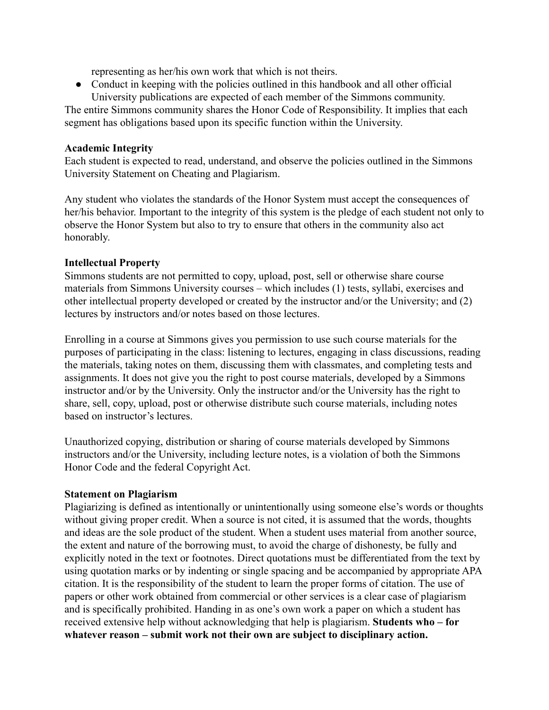representing as her/his own work that which is not theirs.

• Conduct in keeping with the policies outlined in this handbook and all other official University publications are expected of each member of the Simmons community.

The entire Simmons community shares the Honor Code of Responsibility. It implies that each segment has obligations based upon its specific function within the University.

### **Academic Integrity**

Each student is expected to read, understand, and observe the policies outlined in the Simmons University Statement on Cheating and Plagiarism.

Any student who violates the standards of the Honor System must accept the consequences of her/his behavior. Important to the integrity of this system is the pledge of each student not only to observe the Honor System but also to try to ensure that others in the community also act honorably.

### **Intellectual Property**

Simmons students are not permitted to copy, upload, post, sell or otherwise share course materials from Simmons University courses – which includes (1) tests, syllabi, exercises and other intellectual property developed or created by the instructor and/or the University; and (2) lectures by instructors and/or notes based on those lectures.

Enrolling in a course at Simmons gives you permission to use such course materials for the purposes of participating in the class: listening to lectures, engaging in class discussions, reading the materials, taking notes on them, discussing them with classmates, and completing tests and assignments. It does not give you the right to post course materials, developed by a Simmons instructor and/or by the University. Only the instructor and/or the University has the right to share, sell, copy, upload, post or otherwise distribute such course materials, including notes based on instructor's lectures.

Unauthorized copying, distribution or sharing of course materials developed by Simmons instructors and/or the University, including lecture notes, is a violation of both the Simmons Honor Code and the federal Copyright Act.

#### **Statement on Plagiarism**

Plagiarizing is defined as intentionally or unintentionally using someone else's words or thoughts without giving proper credit. When a source is not cited, it is assumed that the words, thoughts and ideas are the sole product of the student. When a student uses material from another source, the extent and nature of the borrowing must, to avoid the charge of dishonesty, be fully and explicitly noted in the text or footnotes. Direct quotations must be differentiated from the text by using quotation marks or by indenting or single spacing and be accompanied by appropriate APA citation. It is the responsibility of the student to learn the proper forms of citation. The use of papers or other work obtained from commercial or other services is a clear case of plagiarism and is specifically prohibited. Handing in as one's own work a paper on which a student has received extensive help without acknowledging that help is plagiarism. **Students who – for whatever reason – submit work not their own are subject to disciplinary action.**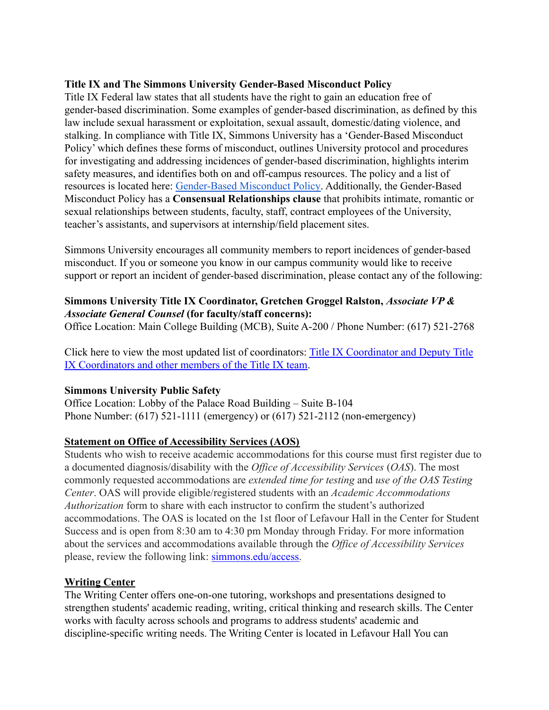## **Title IX and The Simmons University Gender-Based Misconduct Policy**

Title IX Federal law states that all students have the right to gain an education free of gender-based discrimination. Some examples of gender-based discrimination, as defined by this law include sexual harassment or exploitation, sexual assault, domestic/dating violence, and stalking. In compliance with Title IX, Simmons University has a 'Gender-Based Misconduct Policy' which defines these forms of misconduct, outlines University protocol and procedures for investigating and addressing incidences of gender-based discrimination, highlights interim safety measures, and identifies both on and off-campus resources. The policy and a list of resources is located here: [Gender-Based Misconduct](https://www.simmons.edu/sites/default/files/2019-03/Gender%20Based%20Misconduct%20Policy.pdf) Policy. Additionally, the Gender-Based Misconduct Policy has a **Consensual Relationships clause** that prohibits intimate, romantic or sexual relationships between students, faculty, staff, contract employees of the University, teacher's assistants, and supervisors at internship/field placement sites.

Simmons University encourages all community members to report incidences of gender-based misconduct. If you or someone you know in our campus community would like to receive support or report an incident of gender-based discrimination, please contact any of the following:

# **Simmons University Title IX Coordinator, Gretchen Groggel Ralston,** *Associate VP & Associate General Counsel* **(for faculty/staff concerns):**

Office Location: Main College Building (MCB), Suite A-200 / Phone Number: (617) 521-2768

Click here to view the most updated list of coordinators: [Title IX Coordinator and Deputy Title](https://www.simmons.edu/your-simmons/commitment-inclusivity/title-ix/title-ix-coordinators-and-team-members) [IX Coordinators and other members of the Title IX team](https://www.simmons.edu/your-simmons/commitment-inclusivity/title-ix/title-ix-coordinators-and-team-members).

### **Simmons University Public Safety**

Office Location: Lobby of the Palace Road Building – Suite B-104 Phone Number: (617) 521-1111 (emergency) or (617) 521-2112 (non-emergency)

# **Statement on Office of Accessibility Services (AOS)**

 *Authorization* form to share with each instructor to confirm the student's authorized accommodations. The OAS is located on the 1st floor of Lefavour Hall in the Center for Student please, review the following link: [simmons.edu/access.](http://simmons.edu/access) Students who wish to receive academic accommodations for this course must first register due to a documented diagnosis/disability with the *Office of Accessibility Services* (*OAS*). The most commonly requested accommodations are *extended time for testing* and *use of the OAS Testing Center*. OAS will provide eligible/registered students with an *Academic Accommodations* Success and is open from 8:30 am to 4:30 pm Monday through Friday. For more information about the services and accommodations available through the *Office of Accessibility Services*

### **Writing Center**

The Writing Center offers one-on-one tutoring, workshops and presentations designed to strengthen students' academic reading, writing, critical thinking and research skills. The Center works with faculty across schools and programs to address students' academic and discipline-specific writing needs. The Writing Center is located in Lefavour Hall You can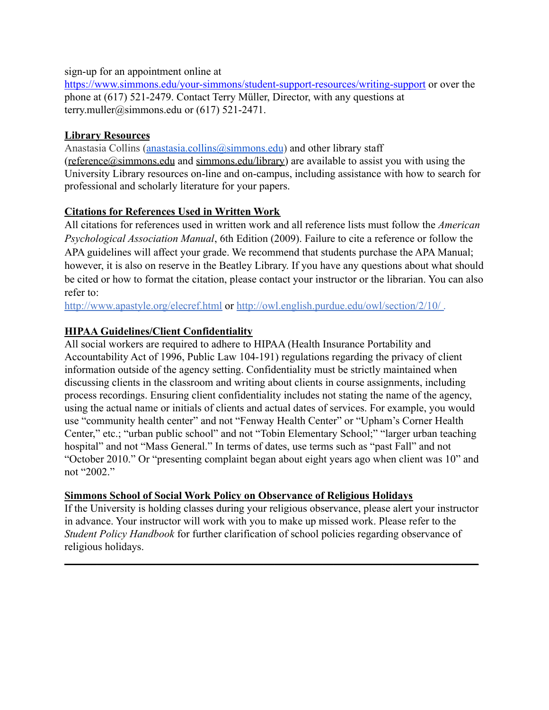sign-up for an appointment online at

<https://www.simmons.edu/your-simmons/student-support-resources/writing-support> or over the phone at (617) 521-2479. Contact Terry Müller, Director, with any questions at [terry.muller@simmons.edu](mailto:terry.muller@simmons.edu) or (617) 521-2471.

# **Library Resources**

Anastasia Collins [\(anastasia.collins@simmons.edu](mailto:anastasia.collins@simmons.edu)) and other library staff ([reference@simmons.edu](mailto:reference@simmons.edu) and [simmons.edu/library\)](http://simmons.edu/library/) are available to assist you with using the University Library resources on-line and on-campus, including assistance with how to search for professional and scholarly literature for your papers.

# **Citations for References Used in Written Work**

All citations for references used in written work and all reference lists must follow the *American Psychological Association Manual*, 6th Edition (2009). Failure to cite a reference or follow the APA guidelines will affect your grade. We recommend that students purchase the APA Manual; however, it is also on reserve in the Beatley Library. If you have any questions about what should be cited or how to format the citation, please contact your instructor or the librarian. You can also refer to:

<http://www.apastyle.org/elecref.html> or <http://owl.english.purdue.edu/owl/section/2/10/> .

# **HIPAA Guidelines/Client Confidentiality**

All social workers are required to adhere to HIPAA (Health Insurance Portability and Accountability Act of 1996, Public Law 104-191) regulations regarding the privacy of client information outside of the agency setting. Confidentiality must be strictly maintained when discussing clients in the classroom and writing about clients in course assignments, including process recordings. Ensuring client confidentiality includes not stating the name of the agency, using the actual name or initials of clients and actual dates of services. For example, you would use "community health center" and not "Fenway Health Center" or "Upham's Corner Health Center," etc.; "urban public school" and not "Tobin Elementary School;" "larger urban teaching hospital" and not "Mass General." In terms of dates, use terms such as "past Fall" and not "October 2010." Or "presenting complaint began about eight years ago when client was 10" and not "2002."

### **Simmons School of Social Work Policy on Observance of Religious Holidays**

If the University is holding classes during your religious observance, please alert your instructor in advance. Your instructor will work with you to make up missed work. Please refer to the *Student Policy Handbook* for further clarification of school policies regarding observance of religious holidays.

 $\mathcal{L}_\mathcal{L} = \mathcal{L}_\mathcal{L} = \mathcal{L}_\mathcal{L} = \mathcal{L}_\mathcal{L} = \mathcal{L}_\mathcal{L} = \mathcal{L}_\mathcal{L} = \mathcal{L}_\mathcal{L} = \mathcal{L}_\mathcal{L} = \mathcal{L}_\mathcal{L} = \mathcal{L}_\mathcal{L} = \mathcal{L}_\mathcal{L} = \mathcal{L}_\mathcal{L} = \mathcal{L}_\mathcal{L} = \mathcal{L}_\mathcal{L} = \mathcal{L}_\mathcal{L} = \mathcal{L}_\mathcal{L} = \mathcal{L}_\mathcal{L}$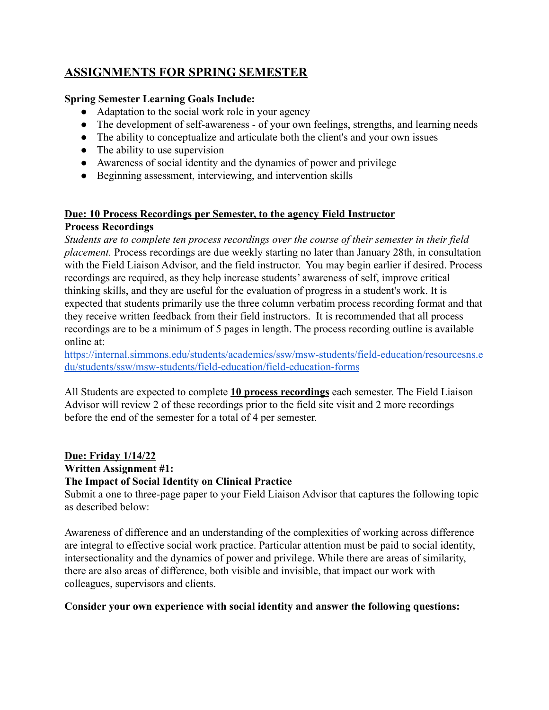# **ASSIGNMENTS FOR SPRING SEMESTER**

### **Spring Semester Learning Goals Include:**

- Adaptation to the social work role in your agency
- The development of self-awareness of your own feelings, strengths, and learning needs
- The ability to conceptualize and articulate both the client's and your own issues
- The ability to use supervision
- Awareness of social identity and the dynamics of power and privilege
- Beginning assessment, interviewing, and intervention skills

# **Due: 10 Process Recordings per Semester, to the agency Field Instructor Process Recordings**

*Students are to complete ten process recordings over the course of their semester in their field placement.* Process recordings are due weekly starting no later than January 28th, in consultation with the Field Liaison Advisor, and the field instructor. You may begin earlier if desired. Process recordings are required, as they help increase students' awareness of self, improve critical thinking skills, and they are useful for the evaluation of progress in a student's work. It is expected that students primarily use the three column verbatim process recording format and that they receive written feedback from their field instructors. It is recommended that all process recordings are to be a minimum of 5 pages in length. The process recording outline is available online at:

[https://internal.simmons.edu/students/academics/ssw/msw-students/field-education/resourcesns.e](https://internal.simmons.edu/students/academics/ssw/msw-students/field-education/resources) [du/students/ssw/msw-students/field-education/field-education-forms](https://internal.simmons.edu/students/academics/ssw/msw-students/field-education/resources)

All Students are expected to complete **10 process recordings** each semester. The Field Liaison Advisor will review 2 of these recordings prior to the field site visit and 2 more recordings before the end of the semester for a total of 4 per semester.

**Due: Friday 1/14/22**

# **Written Assignment #1:**

### **The Impact of Social Identity on Clinical Practice**

Submit a one to three-page paper to your Field Liaison Advisor that captures the following topic as described below:

Awareness of difference and an understanding of the complexities of working across difference are integral to effective social work practice. Particular attention must be paid to social identity, intersectionality and the dynamics of power and privilege. While there are areas of similarity, there are also areas of difference, both visible and invisible, that impact our work with colleagues, supervisors and clients.

### **Consider your own experience with social identity and answer the following questions:**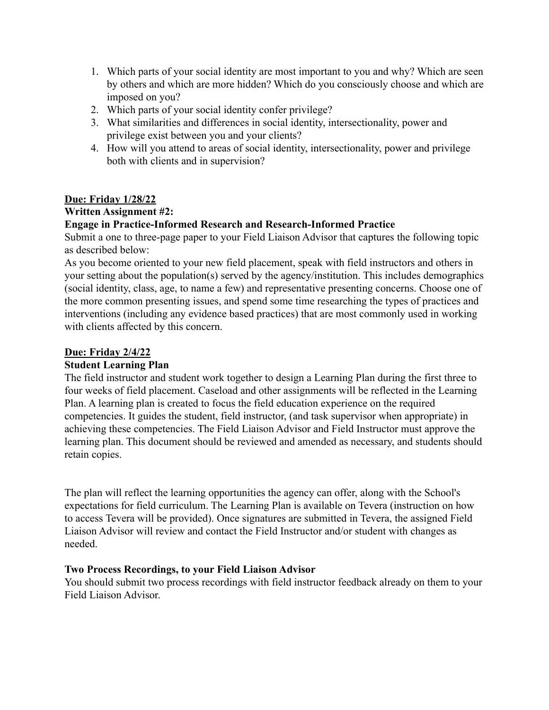- 1. Which parts of your social identity are most important to you and why? Which are seen by others and which are more hidden? Which do you consciously choose and which are imposed on you?
- 2. Which parts of your social identity confer privilege?
- 3. What similarities and differences in social identity, intersectionality, power and privilege exist between you and your clients?
- 4. How will you attend to areas of social identity, intersectionality, power and privilege both with clients and in supervision?

### **Due: Friday 1/28/22**

### **Written Assignment #2:**

# **Engage in Practice-Informed Research and Research-Informed Practice**

Submit a one to three-page paper to your Field Liaison Advisor that captures the following topic as described below:

As you become oriented to your new field placement, speak with field instructors and others in your setting about the population(s) served by the agency/institution. This includes demographics (social identity, class, age, to name a few) and representative presenting concerns. Choose one of the more common presenting issues, and spend some time researching the types of practices and interventions (including any evidence based practices) that are most commonly used in working with clients affected by this concern.

# **Due: Friday 2/4/22**

### **Student Learning Plan**

The field instructor and student work together to design a Learning Plan during the first three to four weeks of field placement. Caseload and other assignments will be reflected in the Learning Plan. A learning plan is created to focus the field education experience on the required competencies. It guides the student, field instructor, (and task supervisor when appropriate) in achieving these competencies. The Field Liaison Advisor and Field Instructor must approve the learning plan. This document should be reviewed and amended as necessary, and students should retain copies.

The plan will reflect the learning opportunities the agency can offer, along with the School's expectations for field curriculum. The Learning Plan is available on Tevera (instruction on how to access Tevera will be provided). Once signatures are submitted in Tevera, the assigned Field Liaison Advisor will review and contact the Field Instructor and/or student with changes as needed.

### **Two Process Recordings, to your Field Liaison Advisor**

You should submit two process recordings with field instructor feedback already on them to your Field Liaison Advisor.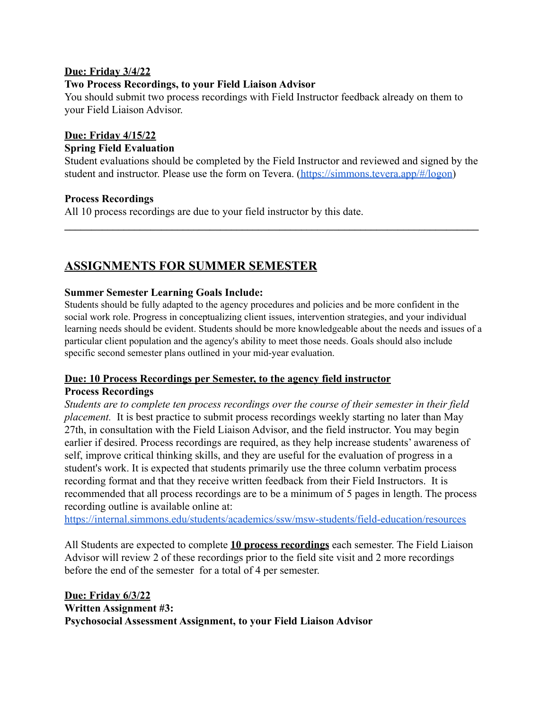### **Due: Friday 3/4/22**

### **Two Process Recordings, to your Field Liaison Advisor**

You should submit two process recordings with Field Instructor feedback already on them to your Field Liaison Advisor.

### **Due: Friday 4/15/22**

#### **Spring Field Evaluation**

Student evaluations should be completed by the Field Instructor and reviewed and signed by the student and instructor. Please use the form on Tevera. ([https://simmons.tevera.app/#/logon\)](https://simmons.tevera.app/#/logon)

 $\mathcal{L}_\mathcal{L} = \{ \mathcal{L}_\mathcal{L} = \{ \mathcal{L}_\mathcal{L} = \{ \mathcal{L}_\mathcal{L} = \{ \mathcal{L}_\mathcal{L} = \{ \mathcal{L}_\mathcal{L} = \{ \mathcal{L}_\mathcal{L} = \{ \mathcal{L}_\mathcal{L} = \{ \mathcal{L}_\mathcal{L} = \{ \mathcal{L}_\mathcal{L} = \{ \mathcal{L}_\mathcal{L} = \{ \mathcal{L}_\mathcal{L} = \{ \mathcal{L}_\mathcal{L} = \{ \mathcal{L}_\mathcal{L} = \{ \mathcal{L}_\mathcal{$ 

#### **Process Recordings**

All 10 process recordings are due to your field instructor by this date.

# **ASSIGNMENTS FOR SUMMER SEMESTER**

#### **Summer Semester Learning Goals Include:**

 Students should be fully adapted to the agency procedures and policies and be more confident in the social work role. Progress in conceptualizing client issues, intervention strategies, and your individual learning needs should be evident. Students should be more knowledgeable about the needs and issues of a particular client population and the agency's ability to meet those needs. Goals should also include specific second semester plans outlined in your mid-year evaluation.

#### **Due: 10 Process Recordings per Semester, to the agency field instructor Process Recordings**

*Students are to complete ten process recordings over the course of their semester in their field placement.* It is best practice to submit process recordings weekly starting no later than May 27th, in consultation with the Field Liaison Advisor, and the field instructor. You may begin earlier if desired. Process recordings are required, as they help increase students' awareness of self, improve critical thinking skills, and they are useful for the evaluation of progress in a student's work. It is expected that students primarily use the three column verbatim process recording format and that they receive written feedback from their Field Instructors. It is recommended that all process recordings are to be a minimum of 5 pages in length. The process recording outline is available online at:

<https://internal.simmons.edu/students/academics/ssw/msw-students/field-education/resources>

All Students are expected to complete **10 process recordings** each semester. The Field Liaison Advisor will review 2 of these recordings prior to the field site visit and 2 more recordings before the end of the semester for a total of 4 per semester.

**Due: Friday 6/3/22 Written Assignment #3: Psychosocial Assessment Assignment, to your Field Liaison Advisor**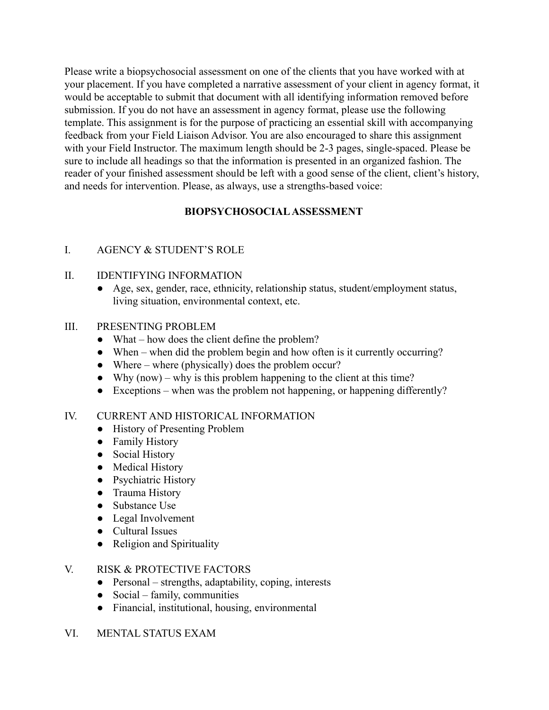Please write a biopsychosocial assessment on one of the clients that you have worked with at your placement. If you have completed a narrative assessment of your client in agency format, it would be acceptable to submit that document with all identifying information removed before submission. If you do not have an assessment in agency format, please use the following template. This assignment is for the purpose of practicing an essential skill with accompanying feedback from your Field Liaison Advisor. You are also encouraged to share this assignment with your Field Instructor. The maximum length should be 2-3 pages, single-spaced. Please be sure to include all headings so that the information is presented in an organized fashion. The reader of your finished assessment should be left with a good sense of the client, client's history, and needs for intervention. Please, as always, use a strengths-based voice:

### **BIOPSYCHOSOCIAL ASSESSMENT**

### I. AGENCY & STUDENT'S ROLE

### II. IDENTIFYING INFORMATION

● Age, sex, gender, race, ethnicity, relationship status, student/employment status, living situation, environmental context, etc.

### III. PRESENTING PROBLEM

- What how does the client define the problem?
- When when did the problem begin and how often is it currently occurring?
- $\bullet$  Where where (physically) does the problem occur?
- Why  $(now) why$  is this problem happening to the client at this time?
- Exceptions when was the problem not happening, or happening differently?

### IV. CURRENT AND HISTORICAL INFORMATION

- History of Presenting Problem
- Family History
- Social History
- Medical History
- Psychiatric History
- Trauma History
- Substance Use
- Legal Involvement
- Cultural Issues
- Religion and Spirituality

### V. RISK & PROTECTIVE FACTORS

- Personal strengths, adaptability, coping, interests
- $\bullet$  Social family, communities
- Financial, institutional, housing, environmental

### VI. MENTAL STATUS EXAM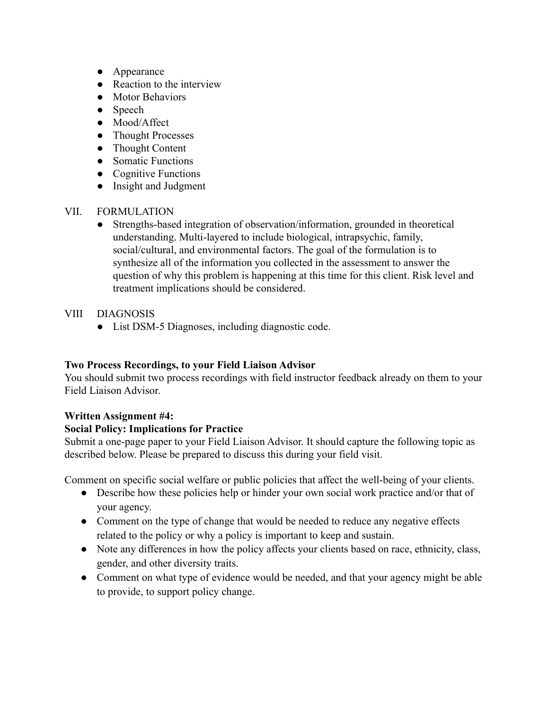- Appearance
- Reaction to the interview
- Motor Behaviors
- Speech
- Mood/Affect
- Thought Processes
- Thought Content
- Somatic Functions
- Cognitive Functions
- Insight and Judgment
- VII. FORMULATION
	- Strengths-based integration of observation/information, grounded in theoretical understanding. Multi-layered to include biological, intrapsychic, family, social/cultural, and environmental factors. The goal of the formulation is to synthesize all of the information you collected in the assessment to answer the question of why this problem is happening at this time for this client. Risk level and treatment implications should be considered.
- VIII DIAGNOSIS
	- List DSM-5 Diagnoses, including diagnostic code.

### **Two Process Recordings, to your Field Liaison Advisor**

You should submit two process recordings with field instructor feedback already on them to your Field Liaison Advisor.

### **Written Assignment #4:**

# **Social Policy: Implications for Practice**

Submit a one-page paper to your Field Liaison Advisor. It should capture the following topic as described below. Please be prepared to discuss this during your field visit.

Comment on specific social welfare or public policies that affect the well-being of your clients.

- Describe how these policies help or hinder your own social work practice and/or that of your agency.
- Comment on the type of change that would be needed to reduce any negative effects related to the policy or why a policy is important to keep and sustain.
- Note any differences in how the policy affects your clients based on race, ethnicity, class, gender, and other diversity traits.
- Comment on what type of evidence would be needed, and that your agency might be able to provide, to support policy change.